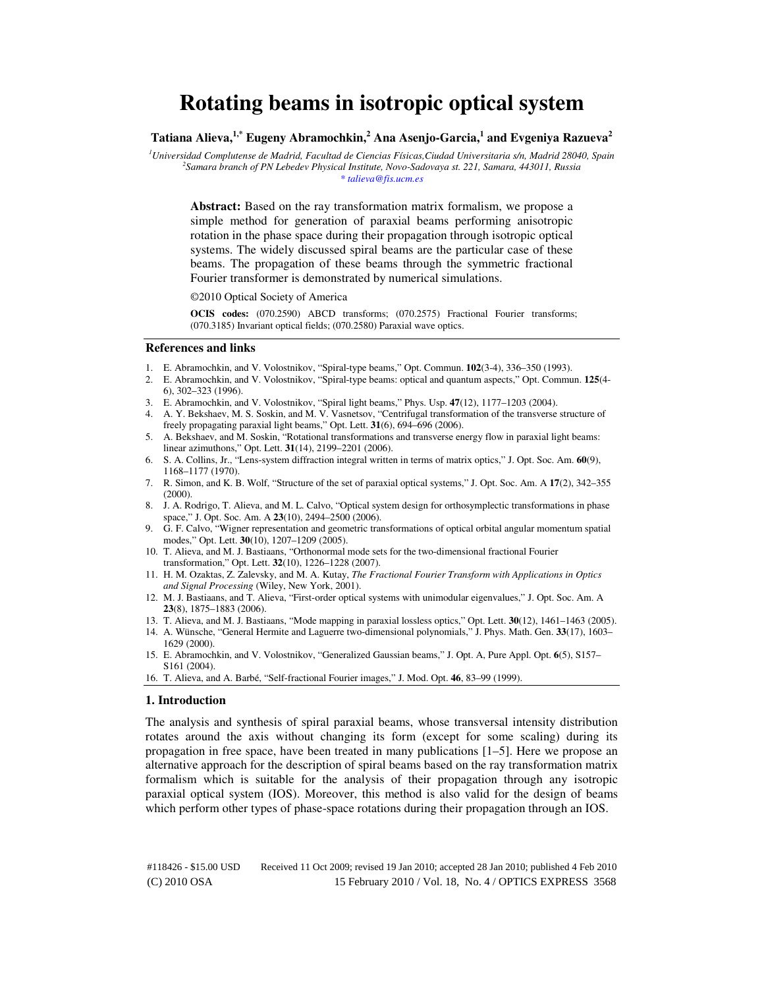# **Rotating beams in isotropic optical system**

**Tatiana Alieva,1,\* Eugeny Abramochkin,<sup>2</sup> Ana Asenjo-Garcia,<sup>1</sup> and Evgeniya Razueva<sup>2</sup>**

*<sup>1</sup>Universidad Complutense de Madrid, Facultad de Ciencias Físicas,Ciudad Universitaria s/n, Madrid 28040, Spain 2 Samara branch of PN Lebedev Physical Institute, Novo-Sadovaya st. 221, Samara, 443011, Russia \* talieva@fis.ucm.es* 

**Abstract:** Based on the ray transformation matrix formalism, we propose a simple method for generation of paraxial beams performing anisotropic rotation in the phase space during their propagation through isotropic optical systems. The widely discussed spiral beams are the particular case of these beams. The propagation of these beams through the symmetric fractional Fourier transformer is demonstrated by numerical simulations.

©2010 Optical Society of America

**OCIS codes:** (070.2590) ABCD transforms; (070.2575) Fractional Fourier transforms; (070.3185) Invariant optical fields; (070.2580) Paraxial wave optics.

#### **References and links**

- 1. E. Abramochkin, and V. Volostnikov, "Spiral-type beams," Opt. Commun. **102**(3-4), 336–350 (1993).
- 2. E. Abramochkin, and V. Volostnikov, "Spiral-type beams: optical and quantum aspects," Opt. Commun. **125**(4- 6), 302–323 (1996).
- 3. E. Abramochkin, and V. Volostnikov, "Spiral light beams," Phys. Usp. **47**(12), 1177–1203 (2004).
- 4. A. Y. Bekshaev, M. S. Soskin, and M. V. Vasnetsov, "Centrifugal transformation of the transverse structure of freely propagating paraxial light beams," Opt. Lett. **31**(6), 694–696 (2006).
- 5. A. Bekshaev, and M. Soskin, "Rotational transformations and transverse energy flow in paraxial light beams: linear azimuthons," Opt. Lett. **31**(14), 2199–2201 (2006).
- 6. S. A. Collins, Jr., "Lens-system diffraction integral written in terms of matrix optics," J. Opt. Soc. Am. **60**(9), 1168–1177 (1970).
- 7. R. Simon, and K. B. Wolf, "Structure of the set of paraxial optical systems," J. Opt. Soc. Am. A **17**(2), 342–355 (2000).
- 8. J. A. Rodrigo, T. Alieva, and M. L. Calvo, "Optical system design for orthosymplectic transformations in phase space," J. Opt. Soc. Am. A **23**(10), 2494–2500 (2006).
- 9. G. F. Calvo, "Wigner representation and geometric transformations of optical orbital angular momentum spatial modes," Opt. Lett. **30**(10), 1207–1209 (2005).
- 10. T. Alieva, and M. J. Bastiaans, "Orthonormal mode sets for the two-dimensional fractional Fourier transformation," Opt. Lett. **32**(10), 1226–1228 (2007).
- 11. H. M. Ozaktas, Z. Zalevsky, and M. A. Kutay, *The Fractional Fourier Transform with Applications in Optics and Signal Processing* (Wiley, New York, 2001).
- 12. M. J. Bastiaans, and T. Alieva, "First-order optical systems with unimodular eigenvalues," J. Opt. Soc. Am. A **23**(8), 1875–1883 (2006).
- 13. T. Alieva, and M. J. Bastiaans, "Mode mapping in paraxial lossless optics," Opt. Lett. **30**(12), 1461–1463 (2005).
- 14. A. Wünsche, "General Hermite and Laguerre two-dimensional polynomials," J. Phys. Math. Gen. **33**(17), 1603– 1629 (2000).
- 15. E. Abramochkin, and V. Volostnikov, "Generalized Gaussian beams," J. Opt. A, Pure Appl. Opt. **6**(5), S157– S161 (2004).
- 16. T. Alieva, and A. Barbé, "Self-fractional Fourier images," J. Mod. Opt. **46**, 83–99 (1999).

#### **1. Introduction**

The analysis and synthesis of spiral paraxial beams, whose transversal intensity distribution rotates around the axis without changing its form (except for some scaling) during its propagation in free space, have been treated in many publications [1–5]. Here we propose an alternative approach for the description of spiral beams based on the ray transformation matrix formalism which is suitable for the analysis of their propagation through any isotropic paraxial optical system (IOS). Moreover, this method is also valid for the design of beams which perform other types of phase-space rotations during their propagation through an IOS.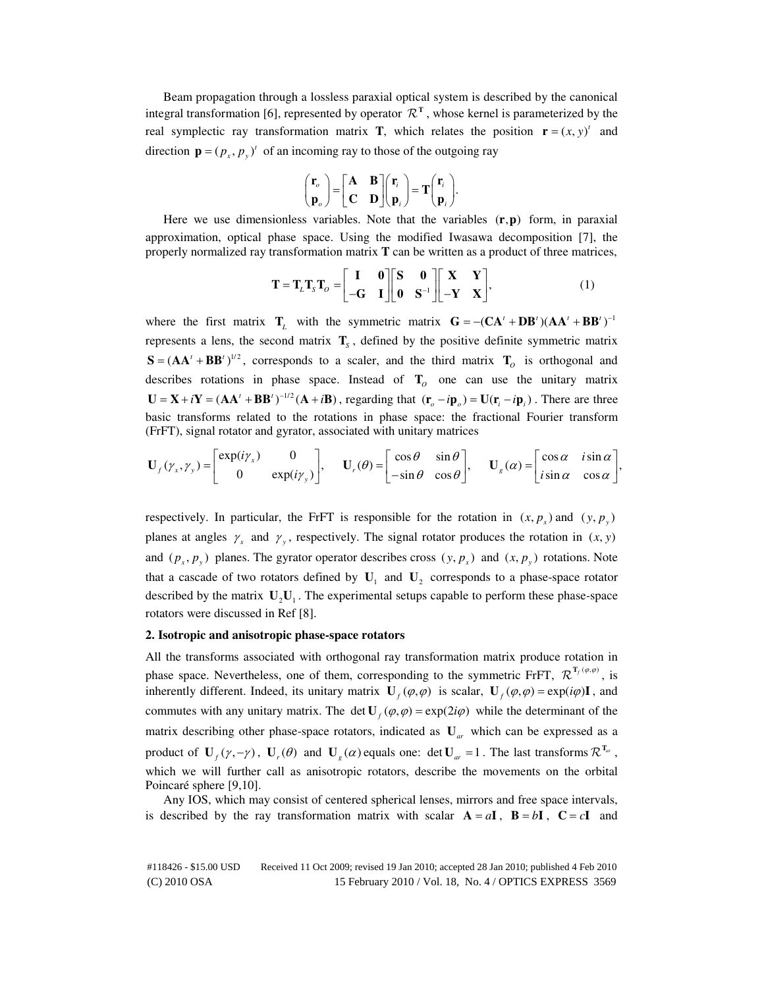Beam propagation through a lossless paraxial optical system is described by the canonical integral transformation [6], represented by operator  $\mathcal{R}^T$ , whose kernel is parameterized by the real symplectic ray transformation matrix **T**, which relates the position  $\mathbf{r} = (x, y)^t$  and direction  $\mathbf{p} = (p_x, p_y)^t$  of an incoming ray to those of the outgoing ray

$$
\begin{pmatrix} \mathbf{r}_o \\ \mathbf{p}_o \end{pmatrix} = \begin{bmatrix} \mathbf{A} & \mathbf{B} \\ \mathbf{C} & \mathbf{D} \end{bmatrix} \begin{pmatrix} \mathbf{r}_i \\ \mathbf{p}_i \end{pmatrix} = \mathbf{T} \begin{pmatrix} \mathbf{r}_i \\ \mathbf{p}_i \end{pmatrix}.
$$

Here we use dimensionless variables. Note that the variables  $(r, p)$  form, in paraxial approximation, optical phase space. Using the modified Iwasawa decomposition [7], the properly normalized ray transformation matrix **T** can be written as a product of three matrices,

$$
\mathbf{T} = \mathbf{T}_L \mathbf{T}_S \mathbf{T}_O = \begin{bmatrix} \mathbf{I} & \mathbf{0} \\ -\mathbf{G} & \mathbf{I} \end{bmatrix} \begin{bmatrix} \mathbf{S} & \mathbf{0} \\ \mathbf{0} & \mathbf{S}^{-1} \end{bmatrix} \begin{bmatrix} \mathbf{X} & \mathbf{Y} \\ -\mathbf{Y} & \mathbf{X} \end{bmatrix},
$$
(1)

where the first matrix  $\mathbf{T}_L$  with the symmetric matrix  $\mathbf{G} = -(\mathbf{C}\mathbf{A}^T + \mathbf{D}\mathbf{B}^T)(\mathbf{A}\mathbf{A}^T + \mathbf{B}\mathbf{B}^T)^{-1}$ represents a lens, the second matrix  $\mathbf{T}_s$ , defined by the positive definite symmetric matrix  $S = (AA' + BB')^{1/2}$ , corresponds to a scaler, and the third matrix  $T<sub>O</sub>$  is orthogonal and describes rotations in phase space. Instead of  $T$ <sup>*O*</sup> one can use the unitary matrix  $U = X + iY = (AA' + BB')^{-1/2}(A + iB)$ , regarding that  $(\mathbf{r}_o - i\mathbf{p}_o) = U(\mathbf{r}_i - i\mathbf{p}_i)$ . There are three basic transforms related to the rotations in phase space: the fractional Fourier transform (FrFT), signal rotator and gyrator, associated with unitary matrices

$$
\mathbf{U}_f(\gamma_x, \gamma_y) = \begin{bmatrix} \exp(i\gamma_x) & 0 \\ 0 & \exp(i\gamma_y) \end{bmatrix}, \quad \mathbf{U}_r(\theta) = \begin{bmatrix} \cos\theta & \sin\theta \\ -\sin\theta & \cos\theta \end{bmatrix}, \quad \mathbf{U}_g(\alpha) = \begin{bmatrix} \cos\alpha & i\sin\alpha \\ i\sin\alpha & \cos\alpha \end{bmatrix},
$$

respectively. In particular, the FrFT is responsible for the rotation in  $(x, p_x)$  and  $(y, p_y)$ planes at angles  $\gamma_x$  and  $\gamma_y$ , respectively. The signal rotator produces the rotation in  $(x, y)$ and  $(p_x, p_y)$  planes. The gyrator operator describes cross  $(y, p_x)$  and  $(x, p_y)$  rotations. Note that a cascade of two rotators defined by  $U_1$  and  $U_2$  corresponds to a phase-space rotator described by the matrix  $\mathbf{U}_2 \mathbf{U}_1$ . The experimental setups capable to perform these phase-space rotators were discussed in Ref [8].

## **2. Isotropic and anisotropic phase-space rotators**

All the transforms associated with orthogonal ray transformation matrix produce rotation in phase space. Nevertheless, one of them, corresponding to the symmetric FrFT,  $\mathcal{R}^{T_f(\varphi,\varphi)}$ , is inherently different. Indeed, its unitary matrix  $\mathbf{U}_f(\varphi, \varphi)$  is scalar,  $\mathbf{U}_f(\varphi, \varphi) = \exp(i\varphi)\mathbf{I}$ , and commutes with any unitary matrix. The det  $\mathbf{U}_t(\varphi, \varphi) = \exp(2i\varphi)$  while the determinant of the matrix describing other phase-space rotators, indicated as **U***ar* which can be expressed as a product of  $\mathbf{U}_f(\gamma, -\gamma)$ ,  $\mathbf{U}_r(\theta)$  and  $\mathbf{U}_g(\alpha)$  equals one: det  $\mathbf{U}_{ar} = 1$ . The last transforms  $\mathcal{R}^{\mathbf{T}_{ar}}$ , which we will further call as anisotropic rotators, describe the movements on the orbital Poincaré sphere [9,10].

Any IOS, which may consist of centered spherical lenses, mirrors and free space intervals, is described by the ray transformation matrix with scalar  $A = aI$ ,  $B = bI$ ,  $C = cI$  and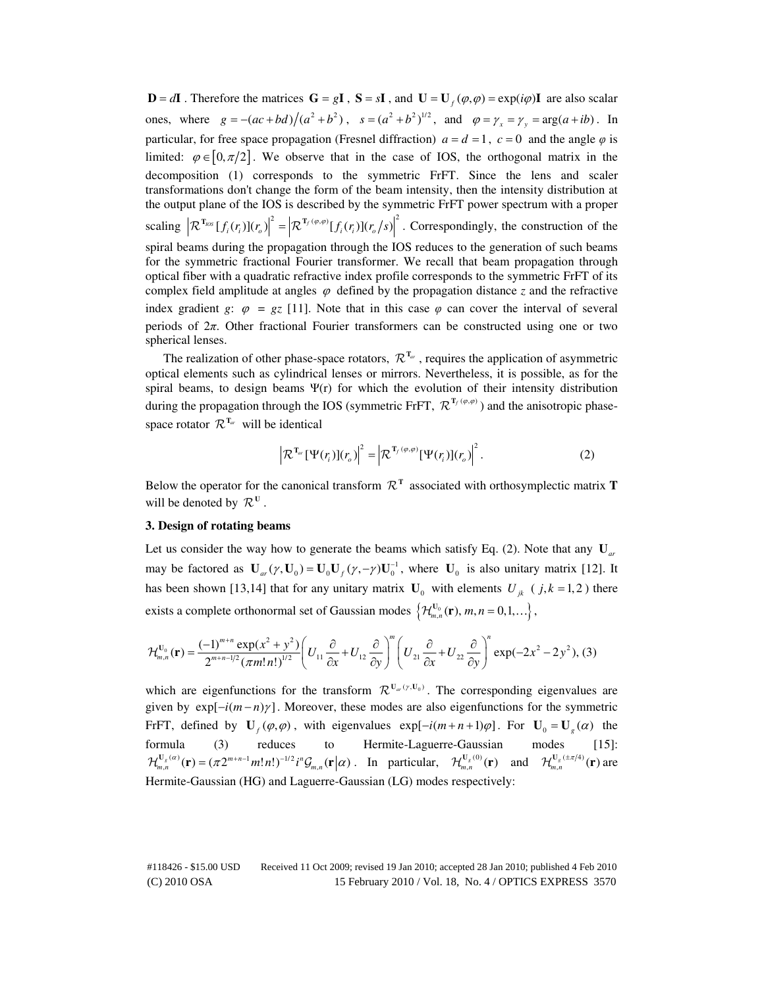**D** =  $d$ **I** . Therefore the matrices **G** =  $g$ **I**, **S** =  $s$ **I**, and **U** = **U**<sub>*f*</sub> ( $\varphi$ , $\varphi$ ) =  $\exp(i\varphi)$ **I** are also scalar ones, where  $g = -(ac + bd)/(a^2 + b^2)$ ,  $s = (a^2 + b^2)^{1/2}$ , and  $\varphi = \gamma_x = \gamma_y = \arg(a + ib)$ . In particular, for free space propagation (Fresnel diffraction)  $a = d = 1$ ,  $c = 0$  and the angle  $\varphi$  is limited:  $\varphi \in [0, \pi/2]$ . We observe that in the case of IOS, the orthogonal matrix in the decomposition (1) corresponds to the symmetric FrFT. Since the lens and scaler transformations don't change the form of the beam intensity, then the intensity distribution at the output plane of the IOS is described by the symmetric FrFT power spectrum with a proper scaling  $\left|\mathcal{R}^{\mathbf{T}_{pos}}[f_i(r_i)](r_o)\right|^2 = \left|\mathcal{R}^{\mathbf{T}_{f}(\varphi,\varphi)}[f_i(r_i)](r_o/s)\right|^2$ . Correspondingly, the construction of the spiral beams during the propagation through the IOS reduces to the generation of such beams for the symmetric fractional Fourier transformer. We recall that beam propagation through optical fiber with a quadratic refractive index profile corresponds to the symmetric FrFT of its complex field amplitude at angles  $\varphi$  defined by the propagation distance *z* and the refractive index gradient *g*:  $\varphi = gz$  [11]. Note that in this case  $\varphi$  can cover the interval of several periods of  $2\pi$ . Other fractional Fourier transformers can be constructed using one or two spherical lenses.

The realization of other phase-space rotators,  $\mathcal{R}^{T_a}$ , requires the application of asymmetric optical elements such as cylindrical lenses or mirrors. Nevertheless, it is possible, as for the spiral beams, to design beams  $\Psi(r)$  for which the evolution of their intensity distribution during the propagation through the IOS (symmetric FrFT,  $\mathcal{R}^{T_f(\varphi,\varphi)}$ ) and the anisotropic phasespace rotator  $\mathcal{R}^{T_{ar}}$  will be identical

$$
\left|\mathcal{R}^{\mathrm{T}_{ar}}[\Psi(r_i)](r_o)\right|^2 = \left|\mathcal{R}^{\mathrm{T}_f(\varphi,\varphi)}[\Psi(r_i)](r_o)\right|^2.
$$
 (2)

Below the operator for the canonical transform  $\mathcal{R}^T$  associated with orthosymplectic matrix **T** will be denoted by  $\mathcal{R}^{\mathbf{U}}$ .

# **3. Design of rotating beams**

Let us consider the way how to generate the beams which satisfy Eq. (2). Note that any  $U_{ar}$ may be factored as  $\mathbf{U}_{ar}(\gamma, \mathbf{U}_0) = \mathbf{U}_0 \mathbf{U}_f(\gamma, -\gamma) \mathbf{U}_0^{-1}$ , where  $\mathbf{U}_0$  is also unitary matrix [12]. It has been shown [13,14] that for any unitary matrix  $\mathbf{U}_0$  with elements  $U_{jk}$  ( $j, k = 1, 2$ ) there exists a complete orthonormal set of Gaussian modes  $\{\mathcal{H}_{m,n}^{U_0}(\mathbf{r}), m, n = 0,1,...\},\$ 

$$
\mathcal{H}_{m,n}^{\mathbf{U}_{0}}(\mathbf{r}) = \frac{(-1)^{m+n} \exp(x^{2} + y^{2})}{2^{m+n-1/2} (\pi m! n!)^{1/2}} \left( U_{11} \frac{\partial}{\partial x} + U_{12} \frac{\partial}{\partial y} \right)^{m} \left( U_{21} \frac{\partial}{\partial x} + U_{22} \frac{\partial}{\partial y} \right)^{n} \exp(-2x^{2} - 2y^{2}), (3)
$$

which are eigenfunctions for the transform  $\mathcal{R}^{\mathbf{U}_{ar}(y,\mathbf{U}_0)}$ . The corresponding eigenvalues are given by  $exp[-i(m-n)\gamma]$ . Moreover, these modes are also eigenfunctions for the symmetric FrFT, defined by  $\mathbf{U}_f(\varphi, \varphi)$ , with eigenvalues  $\exp[-i(m+n+1)\varphi]$ . For  $\mathbf{U}_0 = \mathbf{U}_g(\alpha)$  the formula (3) reduces to Hermite-Laguerre-Gaussian modes [15]:  $\mathcal{H}_{m,n}^{\mathbf{U}_g(\alpha)}(\mathbf{r}) = (\pi 2^{m+n-1}m!n!)^{-1/2}i^n\mathcal{G}_{m,n}(\mathbf{r}|\alpha)$ . In particular,  $\mathcal{H}_{m,n}^{\mathbf{U}_g(0)}(\mathbf{r})$  and  $\mathcal{H}_{m,n}^{\mathbf{U}_g(\pm \pi/4)}(\mathbf{r})$  are Hermite-Gaussian (HG) and Laguerre-Gaussian (LG) modes respectively: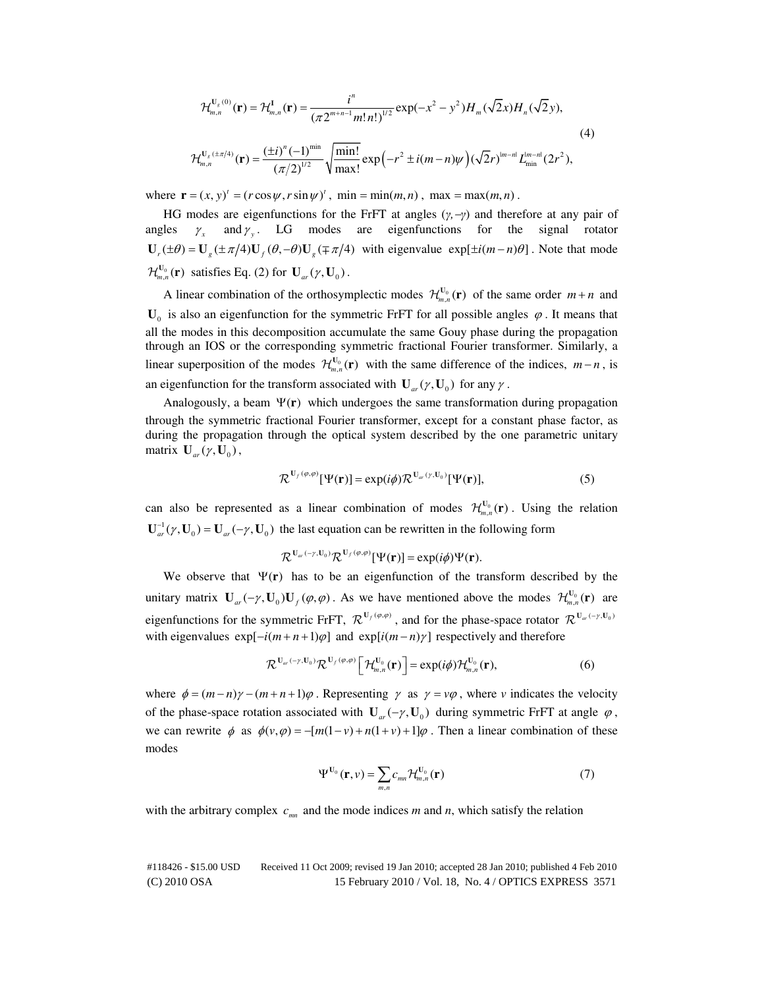$$
\mathcal{H}_{m,n}^{\mathbf{U}_g(0)}(\mathbf{r}) = \mathcal{H}_{m,n}^{\mathbf{I}}(\mathbf{r}) = \frac{i^n}{(\pi 2^{m+n-1} m! n!)^{1/2}} \exp(-x^2 - y^2) H_m(\sqrt{2}x) H_n(\sqrt{2}y),
$$
\n
$$
\mathcal{H}_{m,n}^{\mathbf{U}_g(\pm \pi/4)}(\mathbf{r}) = \frac{(\pm i)^n (-1)^{min}}{(\pi/2)^{1/2}} \sqrt{\frac{\min!}{\max!}} \exp(-r^2 \pm i(m-n)\psi) (\sqrt{2}r)^{m-n} L_{\min}^{m-n}(2r^2),
$$
\n(4)

where  $\mathbf{r} = (x, y) = (r \cos \psi, r \sin \psi)$ , min = min(*m*, *n*), max = max(*m*, *n*).

HG modes are eigenfunctions for the FrFT at angles  $(\gamma, -\gamma)$  and therefore at any pair of angles  $\gamma_x$  and  $\gamma_y$ . LG modes are eigenfunctions for the signal rotator  $U_r(\pm \theta) = U_s(\pm \pi/4)U_r(\theta, -\theta)U_s(\mp \pi/4)$  with eigenvalue exp[ $\pm i(m-n)\theta$ ]. Note that mode  $\mathcal{H}_{m,n}^{U_0}(\mathbf{r})$  satisfies Eq. (2) for  $\mathbf{U}_{ar}(\gamma, \mathbf{U}_0)$ .

A linear combination of the orthosymplectic modes  $\mathcal{H}_{m,n}^{U_0}(\mathbf{r})$  of the same order  $m+n$  and  $U_0$  is also an eigenfunction for the symmetric FrFT for all possible angles  $\varphi$ . It means that all the modes in this decomposition accumulate the same Gouy phase during the propagation through an IOS or the corresponding symmetric fractional Fourier transformer. Similarly, a linear superposition of the modes  $\mathcal{H}_{m,n}^{U_0}(\mathbf{r})$  with the same difference of the indices,  $m-n$ , is an eigenfunction for the transform associated with  $U_{ar}(\gamma, U_0)$  for any  $\gamma$ .

Analogously, a beam  $\Psi(\mathbf{r})$  which undergoes the same transformation during propagation through the symmetric fractional Fourier transformer, except for a constant phase factor, as during the propagation through the optical system described by the one parametric unitary matrix  $\mathbf{U}_{ar}(\gamma, \mathbf{U}_0)$ ,

$$
\mathcal{R}^{\mathbf{U}_f(\varphi,\varphi)}[\Psi(\mathbf{r})] = \exp(i\phi)\mathcal{R}^{\mathbf{U}_{ar}(\mathbf{r},\mathbf{U}_0)}[\Psi(\mathbf{r})],\tag{5}
$$

can also be represented as a linear combination of modes  $\mathcal{H}_{m,n}^{U_0}(\mathbf{r})$ . Using the relation  $\mathbf{U}_{ar}^{-1}(\gamma, \mathbf{U}_0) = \mathbf{U}_{ar}(-\gamma, \mathbf{U}_0)$  the last equation can be rewritten in the following form

$$
\mathcal{R}^{\mathbf{U}_{ar}(-\gamma,\mathbf{U}_0)}\mathcal{R}^{\mathbf{U}_f(\varphi,\varphi)}[\Psi(\mathbf{r})]=\exp(i\phi)\Psi(\mathbf{r}).
$$

We observe that  $\Psi(\mathbf{r})$  has to be an eigenfunction of the transform described by the unitary matrix  $\mathbf{U}_{ar}(-\gamma, \mathbf{U}_0)\mathbf{U}_f(\varphi, \varphi)$ . As we have mentioned above the modes  $\mathcal{H}_{m,n}^{\mathbf{U}_0}(\mathbf{r})$  are eigenfunctions for the symmetric FrFT,  $\mathcal{R}^{\mathbf{U}_f(\varphi,\varphi)}$ , and for the phase-space rotator  $\mathcal{R}^{\mathbf{U}_{ar}(-\gamma,\mathbf{U}_0)}$ with eigenvalues  $exp[-i(m+n+1)\varphi]$  and  $exp[i(m-n)\gamma]$  respectively and therefore

$$
\mathcal{R}^{\mathbf{U}_{ar}(-\gamma,\mathbf{U}_0)}\mathcal{R}^{\mathbf{U}_f(\varphi,\varphi)}\left[\mathcal{H}_{m,n}^{\mathbf{U}_0}(\mathbf{r})\right] = \exp(i\phi)\mathcal{H}_{m,n}^{\mathbf{U}_0}(\mathbf{r}),\tag{6}
$$

where  $\phi = (m-n)\gamma - (m+n+1)\varphi$ . Representing  $\gamma$  as  $\gamma = v\varphi$ , where *v* indicates the velocity of the phase-space rotation associated with  $U_{ar}(-\gamma, U_0)$  during symmetric FrFT at angle  $\varphi$ , we can rewrite  $\phi$  as  $\phi(v, \varphi) = -\frac{m(1-v) + n(1+v) + 1}{\varphi}$ . Then a linear combination of these modes

$$
\Psi^{\mathbf{U}_0}(\mathbf{r}, \nu) = \sum_{m,n} c_{mn} \mathcal{H}_{m,n}^{\mathbf{U}_0}(\mathbf{r}) \tag{7}
$$

with the arbitrary complex  $c_{mn}$  and the mode indices *m* and *n*, which satisfy the relation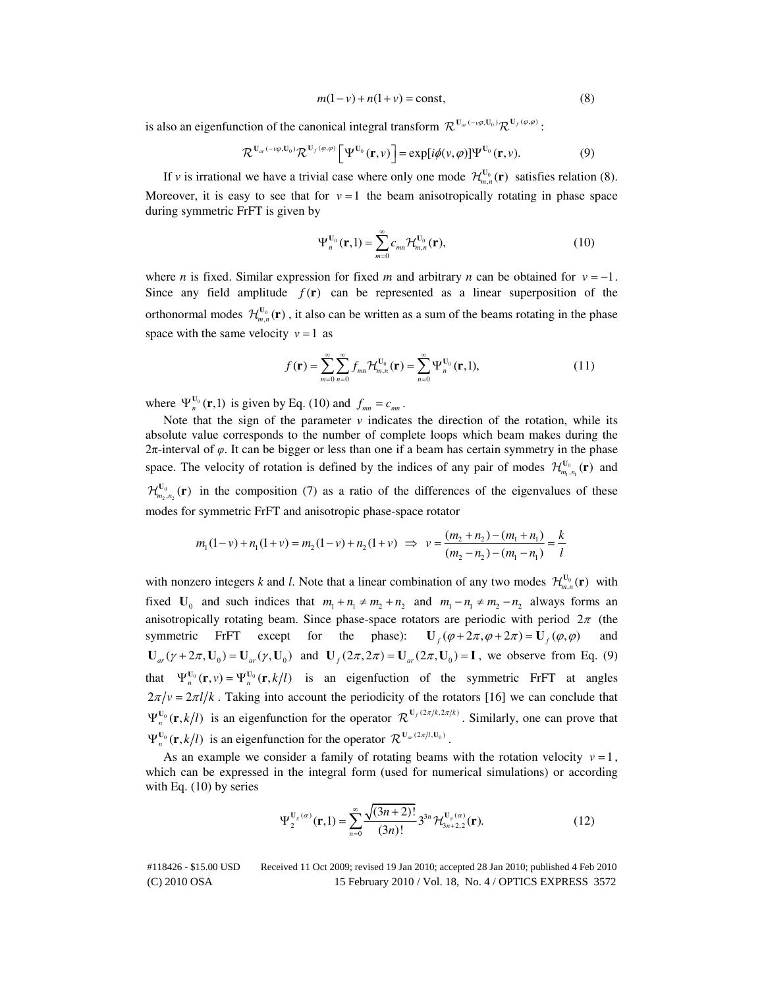$$
m(1 - v) + n(1 + v) = \text{const},\tag{8}
$$

is also an eigenfunction of the canonical integral transform  $\mathcal{R}^{\mathbf{U}_{ar}(-\nu\varphi,\mathbf{U}_0)}\mathcal{R}^{\mathbf{U}_f(\varphi,\varphi)}$ :

$$
\mathcal{R}^{\mathbf{U}_{ar}(-\nu\varphi,\mathbf{U}_0)}\mathcal{R}^{\mathbf{U}_f(\varphi,\varphi)}\big[\Psi^{\mathbf{U}_0}(\mathbf{r},\nu)\big]=\exp[i\phi(\nu,\varphi)]\Psi^{\mathbf{U}_0}(\mathbf{r},\nu). \hspace{1cm} (9)
$$

If *v* is irrational we have a trivial case where only one mode  $\mathcal{H}_{m,n}^{U_0}(\mathbf{r})$  satisfies relation (8). Moreover, it is easy to see that for  $v = 1$  the beam anisotropically rotating in phase space during symmetric FrFT is given by

$$
\Psi_n^{\mathbf{U}_0}(\mathbf{r},1) = \sum_{m=0}^{\infty} c_{mn} \mathcal{H}_{m,n}^{\mathbf{U}_0}(\mathbf{r}),\tag{10}
$$

where *n* is fixed. Similar expression for fixed *m* and arbitrary *n* can be obtained for  $v = -1$ . Since any field amplitude  $f(r)$  can be represented as a linear superposition of the orthonormal modes  $\mathcal{H}_{m,n}^{U_0}(\mathbf{r})$ , it also can be written as a sum of the beams rotating in the phase space with the same velocity  $v = 1$  as

$$
f(\mathbf{r}) = \sum_{m=0}^{\infty} \sum_{n=0}^{\infty} f_{mn} \mathcal{H}_{m,n}^{U_0}(\mathbf{r}) = \sum_{n=0}^{\infty} \Psi_n^{U_0}(\mathbf{r},1),
$$
 (11)

where  $\Psi_n^{\mathbf{U}_0}(\mathbf{r},1)$  is given by Eq. (10) and  $f_{mn} = c_{mn}$ .

Note that the sign of the parameter  $\nu$  indicates the direction of the rotation, while its absolute value corresponds to the number of complete loops which beam makes during the  $2π$ -interval of  $φ$ . It can be bigger or less than one if a beam has certain symmetry in the phase space. The velocity of rotation is defined by the indices of any pair of modes  $\mathcal{H}_{m_1,n_1}^{U_0}(\mathbf{r})$  and  $\mathcal{H}_{m_2,n_2}^{U_0}(\mathbf{r})$  in the composition (7) as a ratio of the differences of the eigenvalues of these modes for symmetric FrFT and anisotropic phase-space rotator

$$
m_1(1-\nu) + n_1(1+\nu) = m_2(1-\nu) + n_2(1+\nu) \implies \nu = \frac{(m_2 + n_2) - (m_1 + n_1)}{(m_2 - n_2) - (m_1 - n_1)} = \frac{k}{l}
$$

with nonzero integers *k* and *l*. Note that a linear combination of any two modes  $\mathcal{H}_{m,n}^{U_0}(\mathbf{r})$  with fixed  $\mathbf{U}_0$  and such indices that  $m_1 + n_1 \neq m_2 + n_2$  and  $m_1 - n_1 \neq m_2 - n_2$  always forms an anisotropically rotating beam. Since phase-space rotators are periodic with period  $2\pi$  (the symmetric FrFT except for the phase):  $U_f(\varphi + 2\pi, \varphi + 2\pi) = U_f(\varphi, \varphi)$  and  $U_{ar}(\gamma + 2\pi, U_0) = U_{ar}(\gamma, U_0)$  and  $U_f(2\pi, 2\pi) = U_{ar}(2\pi, U_0) = I$ , we observe from Eq. (9) that  $\Psi_n^{\mathbf{U}_0}(\mathbf{r}, v) = \Psi_n^{\mathbf{U}_0}(\mathbf{r}, k/l)$  is an eigenfuction of the symmetric FrFT at angles  $2\pi/v = 2\pi l/k$ . Taking into account the periodicity of the rotators [16] we can conclude that  $\Psi_n^{\mathbf{U}_0}(\mathbf{r}, k/l)$  is an eigenfunction for the operator  $\mathcal{R}^{\mathbf{U}_f(2\pi/k, 2\pi/k)}$ . Similarly, one can prove that  $\Psi_n^{\mathbf{U}_0}(\mathbf{r}, k/l)$  is an eigenfunction for the operator  $\mathcal{R}^{\mathbf{U}_{ar}(2\pi/l, \mathbf{U}_0)}$ .

As an example we consider a family of rotating beams with the rotation velocity  $v = 1$ , which can be expressed in the integral form (used for numerical simulations) or according with Eq.  $(10)$  by series

$$
\Psi_2^{\mathbf{U}_s(\alpha)}(\mathbf{r},1) = \sum_{n=0}^{\infty} \frac{\sqrt{(3n+2)!}}{(3n)!} 3^{3n} \mathcal{H}_{3n+2,2}^{\mathbf{U}_s(\alpha)}(\mathbf{r}).
$$
\n(12)